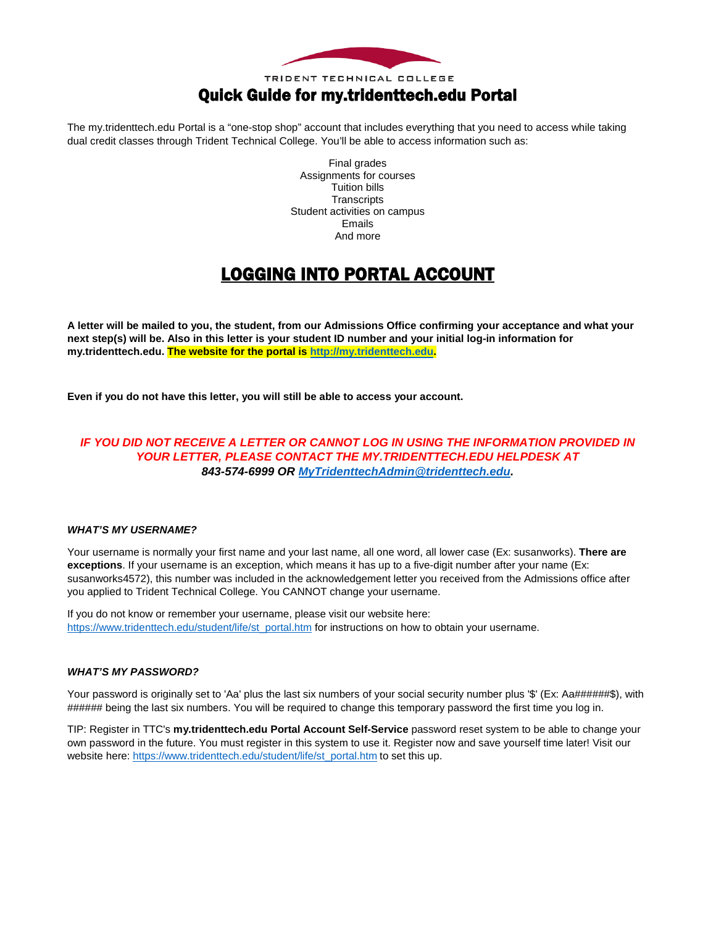

### Quick Guide for my.tridenttech.edu Portal

The my.tridenttech.edu Portal is a "one-stop shop" account that includes everything that you need to access while taking dual credit classes through Trident Technical College. You'll be able to access information such as:

> Final grades Assignments for courses Tuition bills **Transcripts** Student activities on campus Emails And more

### LOGGING INTO PORTAL ACCOUNT

**A letter will be mailed to you, the student, from our Admissions Office confirming your acceptance and what your next step(s) will be. Also in this letter is your student ID number and your initial log-in information for my.tridenttech.edu. The website for the portal is [http://my.tridenttech.edu.](http://my.tridenttech.edu/)**

**Even if you do not have this letter, you will still be able to access your account.** 

### *IF YOU DID NOT RECEIVE A LETTER OR CANNOT LOG IN USING THE INFORMATION PROVIDED IN YOUR LETTER, PLEASE CONTACT THE MY.TRIDENTTECH.EDU HELPDESK AT 843-574-6999 OR [MyTridenttechAdmin@tridenttech.edu.](mailto:MytridenttechAdmin@tridenttech.edu)*

#### *WHAT'S MY USERNAME?*

Your username is normally your first name and your last name, all one word, all lower case (Ex: susanworks). There are **exceptions**. If your username is an exception, which means it has up to a five-digit number after your name (Ex: susanworks4572), this number was included in the acknowledgement letter you received from the Admissions office after you applied to Trident Technical College. You CANNOT change your username.

If you do not know or remember your username, please visit our website here: [https://www.tridenttech.edu/student/life/st\\_portal.htm](https://www.tridenttech.edu/student/life/st_portal.htm) for instructions on how to obtain your username.

#### *WHAT'S MY PASSWORD?*

Your password is originally set to 'Aa' plus the last six numbers of your social security number plus '\$' (Ex: Aa######\$), with ###### being the last six numbers. You will be required to change this temporary password the first time you log in.

TIP: Register in TTC's **my.tridenttech.edu Portal Account Self-Service** password reset system to be able to change your own password in the future. You must register in this system to use it. Register now and save yourself time later! Visit our website here: [https://www.tridenttech.edu/student/life/st\\_portal.htm](https://www.tridenttech.edu/student/life/st_portal.htm) to set this up.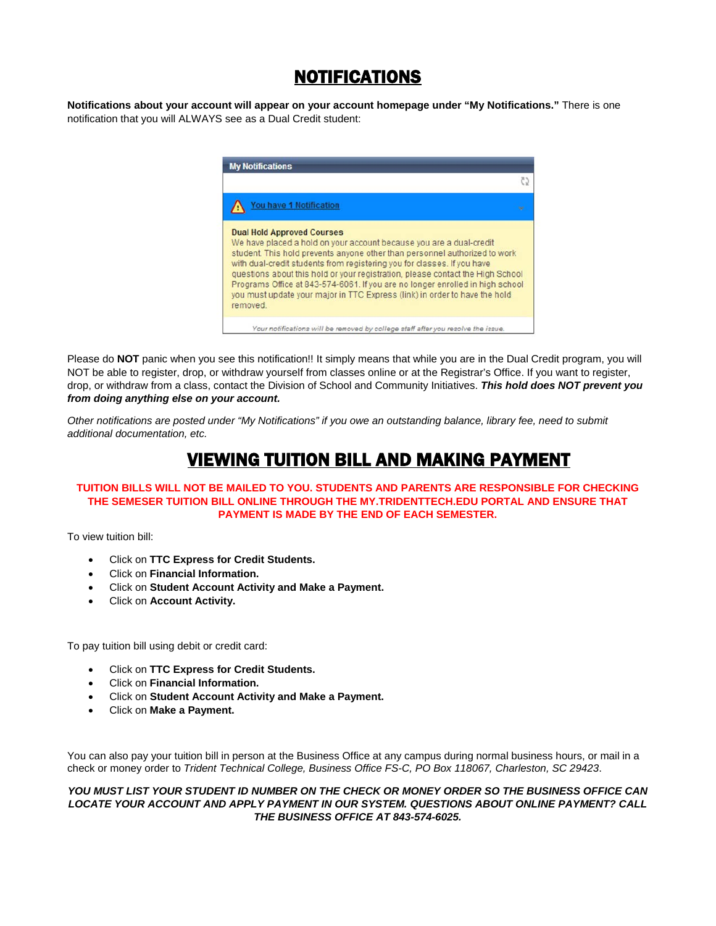### NOTIFICATIONS

**Notifications about your account will appear on your account homepage under "My Notifications."** There is one notification that you will ALWAYS see as a Dual Credit student:



Please do **NOT** panic when you see this notification!! It simply means that while you are in the Dual Credit program, you will NOT be able to register, drop, or withdraw yourself from classes online or at the Registrar's Office. If you want to register, drop, or withdraw from a class, contact the Division of School and Community Initiatives. *This hold does NOT prevent you from doing anything else on your account.*

*Other notifications are posted under "My Notifications" if you owe an outstanding balance, library fee, need to submit additional documentation, etc.*

### VIEWING TUITION BILL AND MAKING PAYMENT

#### **TUITION BILLS WILL NOT BE MAILED TO YOU. STUDENTS AND PARENTS ARE RESPONSIBLE FOR CHECKING THE SEMESER TUITION BILL ONLINE THROUGH THE MY.TRIDENTTECH.EDU PORTAL AND ENSURE THAT PAYMENT IS MADE BY THE END OF EACH SEMESTER.**

To view tuition bill:

- Click on **TTC Express for Credit Students.**
- Click on **Financial Information.**
- Click on **Student Account Activity and Make a Payment.**
- Click on **Account Activity.**

To pay tuition bill using debit or credit card:

- Click on **TTC Express for Credit Students.**
- Click on **Financial Information.**
- Click on **Student Account Activity and Make a Payment.**
- Click on **Make a Payment.**

You can also pay your tuition bill in person at the Business Office at any campus during normal business hours, or mail in a check or money order to *Trident Technical College, Business Office FS-C, PO Box 118067, Charleston, SC 29423*.

*YOU MUST LIST YOUR STUDENT ID NUMBER ON THE CHECK OR MONEY ORDER SO THE BUSINESS OFFICE CAN LOCATE YOUR ACCOUNT AND APPLY PAYMENT IN OUR SYSTEM. QUESTIONS ABOUT ONLINE PAYMENT? CALL THE BUSINESS OFFICE AT 843-574-6025.*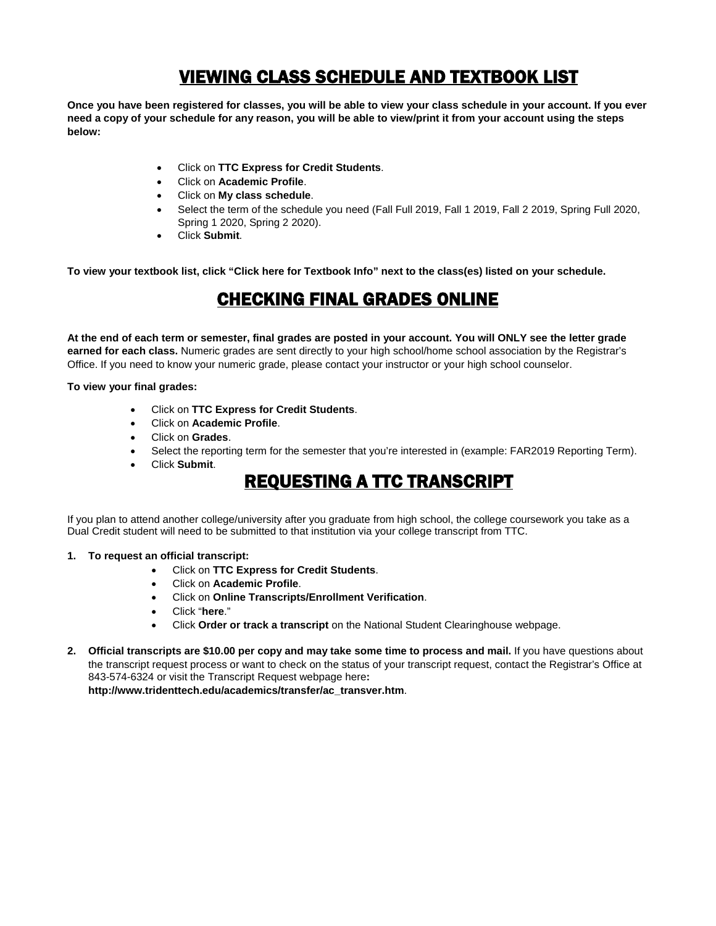## VIEWING CLASS SCHEDULE AND TEXTBOOK LIST

**Once you have been registered for classes, you will be able to view your class schedule in your account. If you ever need a copy of your schedule for any reason, you will be able to view/print it from your account using the steps below:**

- Click on **TTC Express for Credit Students**.
- Click on **Academic Profile**.
- Click on **My class schedule**.
- Select the term of the schedule you need (Fall Full 2019, Fall 1 2019, Fall 2 2019, Spring Full 2020, Spring 1 2020, Spring 2 2020).
- Click **Submit**.

**To view your textbook list, click "Click here for Textbook Info" next to the class(es) listed on your schedule.** 

### CHECKING FINAL GRADES ONLINE

**At the end of each term or semester, final grades are posted in your account. You will ONLY see the letter grade earned for each class.** Numeric grades are sent directly to your high school/home school association by the Registrar's Office. If you need to know your numeric grade, please contact your instructor or your high school counselor.

#### **To view your final grades:**

- Click on **TTC Express for Credit Students**.
- Click on **Academic Profile**.
- Click on **Grades**.
- Select the reporting term for the semester that you're interested in (example: FAR2019 Reporting Term).
- Click **Submit**.

### REQUESTING A TTC TRANSCRIPT

If you plan to attend another college/university after you graduate from high school, the college coursework you take as a Dual Credit student will need to be submitted to that institution via your college transcript from TTC.

- **1. To request an official transcript:**
	- Click on **TTC Express for Credit Students**.
	- Click on **Academic Profile**.
	- Click on **Online Transcripts/Enrollment Verification**.
	- Click "**here**."
	- Click **Order or track a transcript** on the National Student Clearinghouse webpage.
- **2. Official transcripts are \$10.00 per copy and may take some time to process and mail.** If you have questions about the transcript request process or want to check on the status of your transcript request, contact the Registrar's Office at 843-574-6324 or visit the Transcript Request webpage here**:**

**[http://www.tridenttech.edu/academics/transfer/ac\\_transver.htm](http://www.tridenttech.edu/academics/transfer/ac_transver.htm)**.